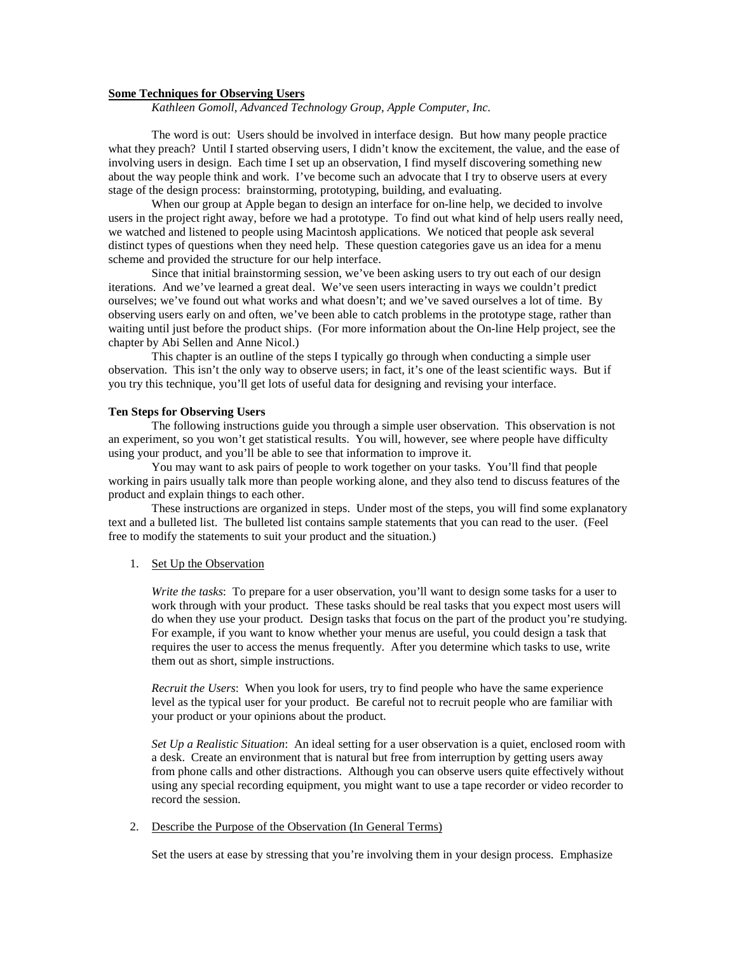# **Some Techniques for Observing Users**

*Kathleen Gomoll, Advanced Technology Group, Apple Computer, Inc.*

The word is out: Users should be involved in interface design. But how many people practice what they preach? Until I started observing users, I didn't know the excitement, the value, and the ease of involving users in design. Each time I set up an observation, I find myself discovering something new about the way people think and work. I've become such an advocate that I try to observe users at every stage of the design process: brainstorming, prototyping, building, and evaluating.

When our group at Apple began to design an interface for on-line help, we decided to involve users in the project right away, before we had a prototype. To find out what kind of help users really need, we watched and listened to people using Macintosh applications. We noticed that people ask several distinct types of questions when they need help. These question categories gave us an idea for a menu scheme and provided the structure for our help interface.

Since that initial brainstorming session, we've been asking users to try out each of our design iterations. And we've learned a great deal. We've seen users interacting in ways we couldn't predict ourselves; we've found out what works and what doesn't; and we've saved ourselves a lot of time. By observing users early on and often, we've been able to catch problems in the prototype stage, rather than waiting until just before the product ships. (For more information about the On-line Help project, see the chapter by Abi Sellen and Anne Nicol.)

This chapter is an outline of the steps I typically go through when conducting a simple user observation. This isn't the only way to observe users; in fact, it's one of the least scientific ways. But if you try this technique, you'll get lots of useful data for designing and revising your interface.

### **Ten Steps for Observing Users**

The following instructions guide you through a simple user observation. This observation is not an experiment, so you won't get statistical results. You will, however, see where people have difficulty using your product, and you'll be able to see that information to improve it.

You may want to ask pairs of people to work together on your tasks. You'll find that people working in pairs usually talk more than people working alone, and they also tend to discuss features of the product and explain things to each other.

These instructions are organized in steps. Under most of the steps, you will find some explanatory text and a bulleted list. The bulleted list contains sample statements that you can read to the user. (Feel free to modify the statements to suit your product and the situation.)

### 1. Set Up the Observation

*Write the tasks*: To prepare for a user observation, you'll want to design some tasks for a user to work through with your product. These tasks should be real tasks that you expect most users will do when they use your product. Design tasks that focus on the part of the product you're studying. For example, if you want to know whether your menus are useful, you could design a task that requires the user to access the menus frequently. After you determine which tasks to use, write them out as short, simple instructions.

*Recruit the Users*: When you look for users, try to find people who have the same experience level as the typical user for your product. Be careful not to recruit people who are familiar with your product or your opinions about the product.

*Set Up a Realistic Situation*: An ideal setting for a user observation is a quiet, enclosed room with a desk. Create an environment that is natural but free from interruption by getting users away from phone calls and other distractions. Although you can observe users quite effectively without using any special recording equipment, you might want to use a tape recorder or video recorder to record the session.

## 2. Describe the Purpose of the Observation (In General Terms)

Set the users at ease by stressing that you're involving them in your design process. Emphasize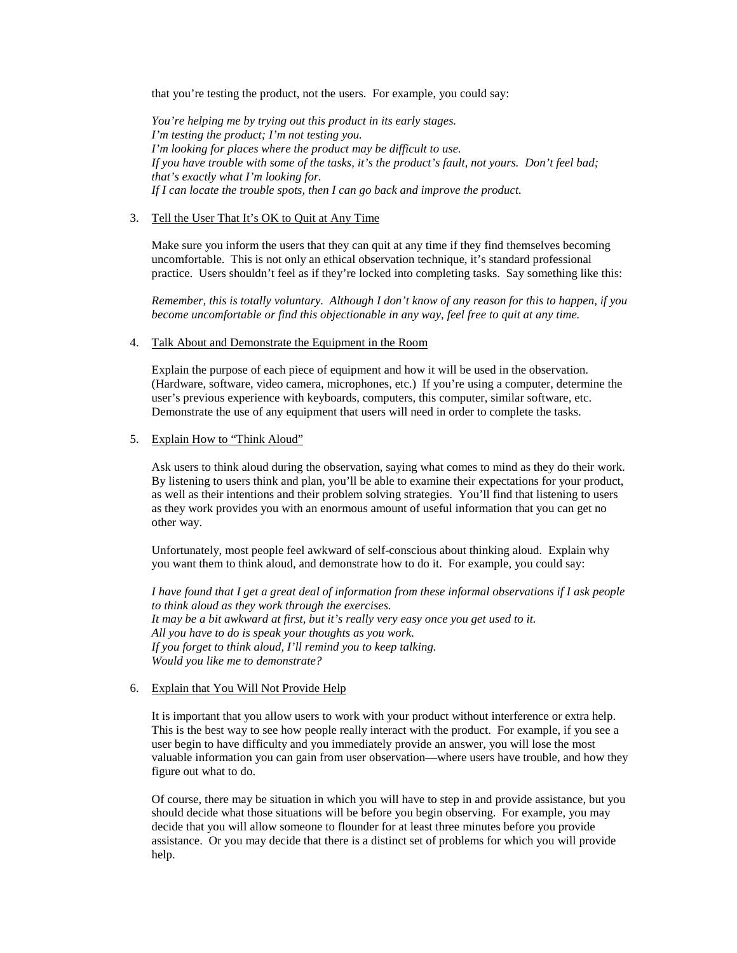that you're testing the product, not the users. For example, you could say:

*You're helping me by trying out this product in its early stages. I'm testing the product; I'm not testing you. I'm looking for places where the product may be difficult to use. If you have trouble with some of the tasks, it's the product's fault, not yours. Don't feel bad; that's exactly what I'm looking for. If I can locate the trouble spots, then I can go back and improve the product.*

# 3. Tell the User That It's OK to Quit at Any Time

Make sure you inform the users that they can quit at any time if they find themselves becoming uncomfortable. This is not only an ethical observation technique, it's standard professional practice. Users shouldn't feel as if they're locked into completing tasks. Say something like this:

*Remember, this is totally voluntary. Although I don't know of any reason for this to happen, if you become uncomfortable or find this objectionable in any way, feel free to quit at any time.*

## 4. Talk About and Demonstrate the Equipment in the Room

Explain the purpose of each piece of equipment and how it will be used in the observation. (Hardware, software, video camera, microphones, etc.) If you're using a computer, determine the user's previous experience with keyboards, computers, this computer, similar software, etc. Demonstrate the use of any equipment that users will need in order to complete the tasks.

# 5. Explain How to "Think Aloud"

Ask users to think aloud during the observation, saying what comes to mind as they do their work. By listening to users think and plan, you'll be able to examine their expectations for your product, as well as their intentions and their problem solving strategies. You'll find that listening to users as they work provides you with an enormous amount of useful information that you can get no other way.

Unfortunately, most people feel awkward of self-conscious about thinking aloud. Explain why you want them to think aloud, and demonstrate how to do it. For example, you could say:

*I have found that I get a great deal of information from these informal observations if I ask people to think aloud as they work through the exercises. It may be a bit awkward at first, but it's really very easy once you get used to it. All you have to do is speak your thoughts as you work. If you forget to think aloud, I'll remind you to keep talking. Would you like me to demonstrate?*

## 6. Explain that You Will Not Provide Help

It is important that you allow users to work with your product without interference or extra help. This is the best way to see how people really interact with the product. For example, if you see a user begin to have difficulty and you immediately provide an answer, you will lose the most valuable information you can gain from user observation—where users have trouble, and how they figure out what to do.

Of course, there may be situation in which you will have to step in and provide assistance, but you should decide what those situations will be before you begin observing. For example, you may decide that you will allow someone to flounder for at least three minutes before you provide assistance. Or you may decide that there is a distinct set of problems for which you will provide help.